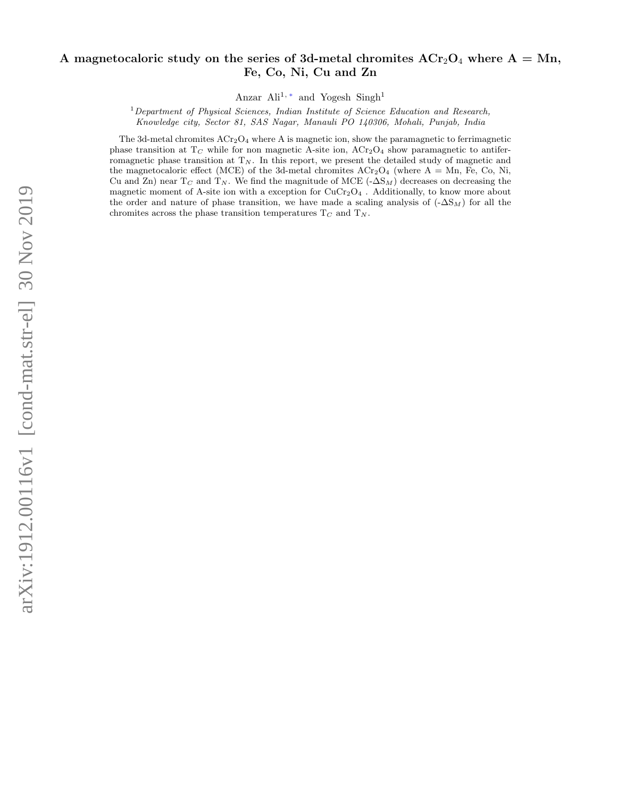# A magnetocaloric study on the series of 3d-metal chromites  $ACr_2O_4$  where  $A = Mn$ , Fe, Co, Ni, Cu and Zn

Anzar Ali<sup>1,\*</sup> and Yogesh Singh<sup>1</sup>

 $1$ Department of Physical Sciences, Indian Institute of Science Education and Research, Knowledge city, Sector 81, SAS Nagar, Manauli PO 140306, Mohali, Punjab, India

The 3d-metal chromites  $ACr<sub>2</sub>O<sub>4</sub>$  where A is magnetic ion, show the paramagnetic to ferrimagnetic phase transition at  $T_C$  while for non magnetic A-site ion,  $ACr_2O_4$  show paramagnetic to antiferromagnetic phase transition at  $T_N$ . In this report, we present the detailed study of magnetic and the magnetocaloric effect (MCE) of the 3d-metal chromites  $ACr<sub>2</sub>O<sub>4</sub>$  (where A = Mn, Fe, Co, Ni, Cu and Zn) near  $T_C$  and  $T_N$ . We find the magnitude of MCE (- $\Delta S_M$ ) decreases on decreasing the magnetic moment of A-site ion with a exception for  $CuCr<sub>2</sub>O<sub>4</sub>$ . Additionally, to know more about the order and nature of phase transition, we have made a scaling analysis of  $(-\Delta S_M)$  for all the chromites across the phase transition temperatures  $T_C$  and  $T_N$ .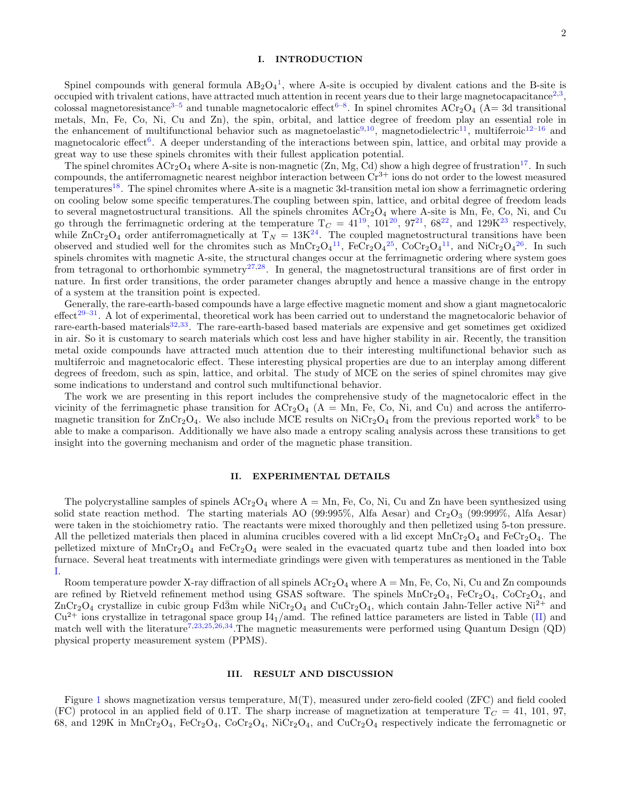### I. INTRODUCTION

Spinel compounds with general formula  $AB_2O_4^1$  $AB_2O_4^1$ , where A-site is occupied by divalent cations and the B-site is occupied with trivalent cations, have attracted much attention in recent years due to their large magnetocapacitance<sup>[2,](#page-10-2)[3](#page-10-3)</sup>, colossal magnetoresistance<sup>[3](#page-10-3)[–5](#page-10-4)</sup> and tunable magnetocaloric effect<sup>[6](#page-10-5)[–8](#page-10-6)</sup>. In spinel chromites  $ACr_2O_4$  (A=3d transitional metals, Mn, Fe, Co, Ni, Cu and Zn), the spin, orbital, and lattice degree of freedom play an essential role in the enhancement of multifunctional behavior such as magnetoelastic<sup>[9,](#page-10-7)[10](#page-10-8)</sup>, magnetodielectric<sup>[11](#page-10-9)</sup>, multiferroic<sup>[12–](#page-10-10)[16](#page-10-11)</sup> and magnetocaloric effect<sup>[6](#page-10-5)</sup>. A deeper understanding of the interactions between spin, lattice, and orbital may provide a great way to use these spinels chromites with their fullest application potential.

The spinel chromites  $ACr<sub>2</sub>O<sub>4</sub>$  where A-site is non-magnetic (Zn, Mg, Cd) show a high degree of frustration<sup>[17](#page-10-12)</sup>. In such compounds, the antiferromagnetic nearest neighbor interaction between  $Cr^{3+}$  ions do not order to the lowest measured temperatures[18](#page-10-13). The spinel chromites where A-site is a magnetic 3d-transition metal ion show a ferrimagnetic ordering on cooling below some specific temperatures.The coupling between spin, lattice, and orbital degree of freedom leads to several magnetostructural transitions. All the spinels chromites  $ACr<sub>2</sub>O<sub>4</sub>$  where A-site is Mn, Fe, Co, Ni, and Cu go through the ferrimagnetic ordering at the temperature  $T_C = 41^{19}$  $T_C = 41^{19}$  $T_C = 41^{19}$ ,  $101^{20}$  $101^{20}$  $101^{20}$ ,  $97^{21}$  $97^{21}$  $97^{21}$ ,  $68^{22}$  $68^{22}$  $68^{22}$ , and  $129K^{23}$  $129K^{23}$  $129K^{23}$  respectively, while  $\text{ZnCr}_2\text{O}_4$  order antiferromagnetically at  $T_N = 13K^{24}$  $T_N = 13K^{24}$  $T_N = 13K^{24}$ . The coupled magnetostructural transitions have been observed and studied well for the chromites such as  $MnCr_2O_4^{11}$  $MnCr_2O_4^{11}$  $MnCr_2O_4^{11}$ ,  $FeCr_2O_4^{25}$  $FeCr_2O_4^{25}$  $FeCr_2O_4^{25}$ ,  $CoCr_2O_4^{11}$ , and  $NiCr_2O_4^{26}$  $NiCr_2O_4^{26}$  $NiCr_2O_4^{26}$ . In such spinels chromites with magnetic A-site, the structural changes occur at the ferrimagnetic ordering where system goes from tetragonal to orthorhombic symmetry<sup>[27](#page-11-2)[,28](#page-11-3)</sup>. In general, the magnetostructural transitions are of first order in nature. In first order transitions, the order parameter changes abruptly and hence a massive change in the entropy of a system at the transition point is expected.

Generally, the rare-earth-based compounds have a large effective magnetic moment and show a giant magnetocaloric effect<sup>[29–](#page-11-4)[31](#page-11-5)</sup>. A lot of experimental, theoretical work has been carried out to understand the magnetocaloric behavior of rare-earth-based materials<sup>[32](#page-11-6)[,33](#page-11-7)</sup>. The rare-earth-based based materials are expensive and get sometimes get oxidized in air. So it is customary to search materials which cost less and have higher stability in air. Recently, the transition metal oxide compounds have attracted much attention due to their interesting multifunctional behavior such as multiferroic and magnetocaloric effect. These interesting physical properties are due to an interplay among different degrees of freedom, such as spin, lattice, and orbital. The study of MCE on the series of spinel chromites may give some indications to understand and control such multifunctional behavior.

The work we are presenting in this report includes the comprehensive study of the magnetocaloric effect in the vicinity of the ferrimagnetic phase transition for  $\text{ACr}_2\text{O}_4$  (A = Mn, Fe, Co, Ni, and Cu) and across the antiferromagnetic transition for  $ZnCr_2O_4$ . We also include MCE results on NiCr<sub>2</sub>O<sub>4</sub> from the previous reported work<sup>[8](#page-10-6)</sup> to be able to make a comparison. Additionally we have also made a entropy scaling analysis across these transitions to get insight into the governing mechanism and order of the magnetic phase transition.

## II. EXPERIMENTAL DETAILS

The polycrystalline samples of spinels  $\text{ACT}_2\text{O}_4$  where  $\text{A} = \text{Mn}$ , Fe, Co, Ni, Cu and Zn have been synthesized using solid state reaction method. The starting materials AO (99:995%, Alfa Aesar) and  $Cr_2O_3$  (99:999%, Alfa Aesar) were taken in the stoichiometry ratio. The reactants were mixed thoroughly and then pelletized using 5-ton pressure. All the pelletized materials then placed in alumina crucibles covered with a lid except  $\text{MnCr}_2\text{O}_4$  and FeCr<sub>2</sub>O<sub>4</sub>. The pelletized mixture of  $MnCr_2O_4$  and  $FeCr_2O_4$  were sealed in the evacuated quartz tube and then loaded into box furnace. Several heat treatments with intermediate grindings were given with temperatures as mentioned in the Table [I.](#page-3-0)

Room temperature powder X-ray diffraction of all spinels  $\text{ACr}_2\text{O}_4$  where  $A = Mn$ , Fe, Co, Ni, Cu and Zn compounds are refined by Rietveld refinement method using GSAS software. The spinels  $MnCr_2O_4$ ,  $FeCr_2O_4$ ,  $CoCr_2O_4$ , and  $ZnCr_2O_4$  crystallize in cubic group Fd $\overline{3}m$  while NiCr<sub>2</sub>O<sub>4</sub> and CuCr<sub>2</sub>O<sub>4</sub>, which contain Jahn-Teller active Ni<sup>2+</sup> and  $Cu^{2+}$  ions crystallize in tetragonal space group  $I4_1$ /amd. The refined lattice parameters are listed in Table [\(II\)](#page-3-1) and match well with the literature<sup>[7](#page-10-20)[,23](#page-10-18)[,25,](#page-11-0)[26,](#page-11-1)[34](#page-11-8)</sup>. The magnetic measurements were performed using Quantum Design (QD) physical property measurement system (PPMS).

## III. RESULT AND DISCUSSION

Figure [1](#page-4-0) shows magnetization versus temperature, M(T), measured under zero-field cooled (ZFC) and field cooled (FC) protocol in an applied field of 0.1T. The sharp increase of magnetization at temperature  $T_C = 41, 101, 97,$ 68, and 129K in MnCr<sub>2</sub>O<sub>4</sub>, FeCr<sub>2</sub>O<sub>4</sub>, CoCr<sub>2</sub>O<sub>4</sub>, NiCr<sub>2</sub>O<sub>4</sub>, and CuCr<sub>2</sub>O<sub>4</sub> respectively indicate the ferromagnetic or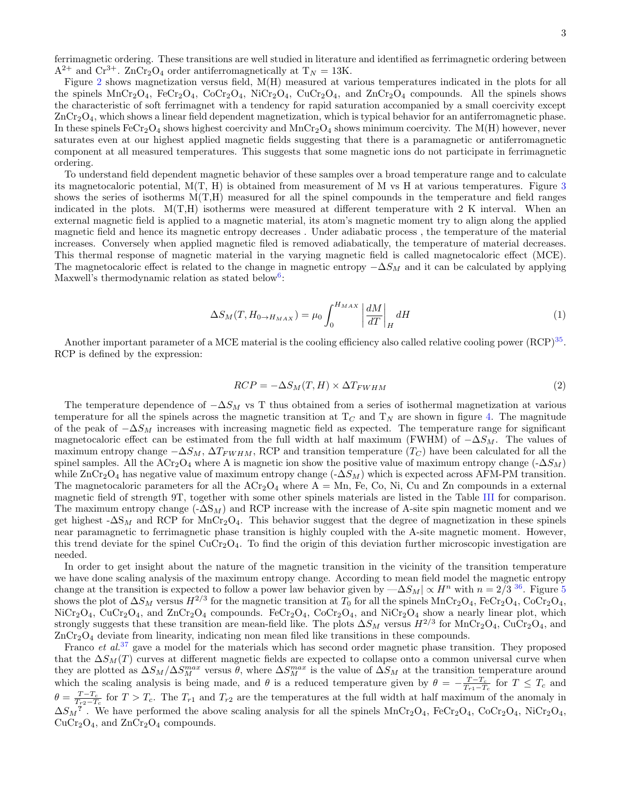3

ferrimagnetic ordering. These transitions are well studied in literature and identified as ferrimagnetic ordering between  $A^{2+}$  and  $Cr^{3+}$ . ZnCr<sub>2</sub>O<sub>4</sub> order antiferromagnetically at  $T_N = 13K$ .

Figure [2](#page-5-0) shows magnetization versus field, M(H) measured at various temperatures indicated in the plots for all the spinels  $MnCr_2O_4$ ,  $FcCr_2O_4$ ,  $CoCr_2O_4$ ,  $NiCr_2O_4$ ,  $CuCr_2O_4$ , and  $ZnCr_2O_4$  compounds. All the spinels shows the characteristic of soft ferrimagnet with a tendency for rapid saturation accompanied by a small coercivity except  $ZnCr_2O_4$ , which shows a linear field dependent magnetization, which is typical behavior for an antiferromagnetic phase. In these spinels  $\text{FeCr}_2\text{O}_4$  shows highest coercivity and  $\text{MnCr}_2\text{O}_4$  shows minimum coercivity. The M(H) however, never saturates even at our highest applied magnetic fields suggesting that there is a paramagnetic or antiferromagnetic component at all measured temperatures. This suggests that some magnetic ions do not participate in ferrimagnetic ordering.

To understand field dependent magnetic behavior of these samples over a broad temperature range and to calculate its magnetocaloric potential, M(T, H) is obtained from measurement of M vs H at various temperatures. Figure [3](#page-6-0) shows the series of isotherms M(T,H) measured for all the spinel compounds in the temperature and field ranges indicated in the plots.  $M(T,H)$  isotherms were measured at different temperature with 2 K interval. When an external magnetic field is applied to a magnetic material, its atom's magnetic moment try to align along the applied magnetic field and hence its magnetic entropy decreases . Under adiabatic process , the temperature of the material increases. Conversely when applied magnetic filed is removed adiabatically, the temperature of material decreases. This thermal response of magnetic material in the varying magnetic field is called magnetocaloric effect (MCE). The magnetocaloric effect is related to the change in magnetic entropy  $-\Delta S_M$  and it can be calculated by applying Maxwell's thermodynamic relation as stated below<sup>[6](#page-10-5)</sup>:

<span id="page-2-0"></span>
$$
\Delta S_M(T, H_{0 \to H_{MAX}}) = \mu_0 \int_0^{H_{MAX}} \left| \frac{dM}{dT} \right|_H dH \tag{1}
$$

Another important parameter of a MCE material is the cooling efficiency also called relative cooling power (RCP)<sup>[35](#page-11-9)</sup>. RCP is defined by the expression:

$$
RCP = -\Delta S_M(T, H) \times \Delta T_{FWHM} \tag{2}
$$

The temperature dependence of  $-\Delta S_M$  vs T thus obtained from a series of isothermal magnetization at various temperature for all the spinels across the magnetic transition at  $T<sub>C</sub>$  and  $T<sub>N</sub>$  are shown in figure [4.](#page-7-0) The magnitude of the peak of  $-\Delta S_M$  increases with increasing magnetic field as expected. The temperature range for significant magnetocaloric effect can be estimated from the full width at half maximum (FWHM) of  $-\Delta S_M$ . The values of maximum entropy change  $-\Delta S_M$ ,  $\Delta T_{FWHM}$ , RCP and transition temperature  $(T_C)$  have been calculated for all the spinel samples. All the  $\text{ACT}_2\text{O}_4$  where A is magnetic ion show the positive value of maximum entropy change  $(-\Delta S_M)$ while  $\text{ZnCr}_2\text{O}_4$  has negative value of maximum entropy change  $(-\Delta S_M)$  which is expected across AFM-PM transition. The magnetocaloric parameters for all the  $\text{ACr}_2\text{O}_4$  where  $\text{A} = \text{Mn}$ , Fe, Co, Ni, Cu and Zn compounds in a external magnetic field of strength 9T, together with some other spinels materials are listed in the Table [III](#page-10-21) for comparison. The maximum entropy change  $(-\Delta S_M)$  and RCP increase with the increase of A-site spin magnetic moment and we get highest  $-\Delta S_M$  and RCP for MnCr<sub>2</sub>O<sub>4</sub>. This behavior suggest that the degree of magnetization in these spinels near paramagnetic to ferrimagnetic phase transition is highly coupled with the A-site magnetic moment. However, this trend deviate for the spinel  $CuCr<sub>2</sub>O<sub>4</sub>$ . To find the origin of this deviation further microscopic investigation are needed.

In order to get insight about the nature of the magnetic transition in the vicinity of the transition temperature we have done scaling analysis of the maximum entropy change. According to mean field model the magnetic entropy change at the transition is expected to follow a power law behavior given by  $-\Delta S_M | \propto H^n$  with  $n = 2/3$  <sup>[36](#page-11-10)</sup>. Figure [5](#page-8-0) shows the plot of  $\Delta S_M$  versus  $H^{2/3}$  for the magnetic transition at  $T_0$  for all the spinels  $\text{MnCr}_2\text{O}_4$ ,  $\text{FeCr}_2\text{O}_4$ ,  $\text{CoCr}_2\text{O}_4$ ,  $NiCr<sub>2</sub>O<sub>4</sub>, CuCr<sub>2</sub>O<sub>4</sub>, and ZnCr<sub>2</sub>O<sub>4</sub> compounds. FeCr<sub>2</sub>O<sub>4</sub>, CoCr<sub>2</sub>O<sub>4</sub>, and NiCr<sub>2</sub>O<sub>4</sub> show a nearly linear plot, which$ strongly suggests that these transition are mean-field like. The plots  $\Delta S_M$  versus  $H^{2/3}$  for  $\text{MnCr}_2\text{O}_4$ ,  $\text{CuCr}_2\text{O}_4$ , and ZnCr2O<sup>4</sup> deviate from linearity, indicating non mean filed like transitions in these compounds.

Franco *et al.*<sup>[37](#page-11-11)</sup> gave a model for the materials which has second order magnetic phase transition. They proposed that the  $\Delta S_M(T)$  curves at different magnetic fields are expected to collapse onto a common universal curve when they are plotted as  $\Delta S_M/\Delta S_M^{max}$  versus  $\theta$ , where  $\Delta S_M^{max}$  is the value of  $\Delta S_M$  at the transition temperature around which the scaling analysis is being made, and  $\theta$  is a reduced temperature given by  $\theta = -\frac{T-T_c}{T_{r1}-T_c}$  for  $T \leq T_c$  and  $\theta = \frac{T - T_c}{T_{r2} - T_c}$  for  $T > T_c$ . The  $T_{r1}$  and  $T_{r2}$  are the temperatures at the full width at half maximum of the anomaly in  $\Delta S_M^2$ . We have performed the above scaling analysis for all the spinels MnCr<sub>2</sub>O<sub>4</sub>, FeCr<sub>2</sub>O<sub>4</sub>, CoCr<sub>2</sub>O<sub>4</sub>, NiCr<sub>2</sub>O<sub>4</sub>,  $CuCr<sub>2</sub>O<sub>4</sub>$ , and  $ZnCr<sub>2</sub>O<sub>4</sub>$  compounds.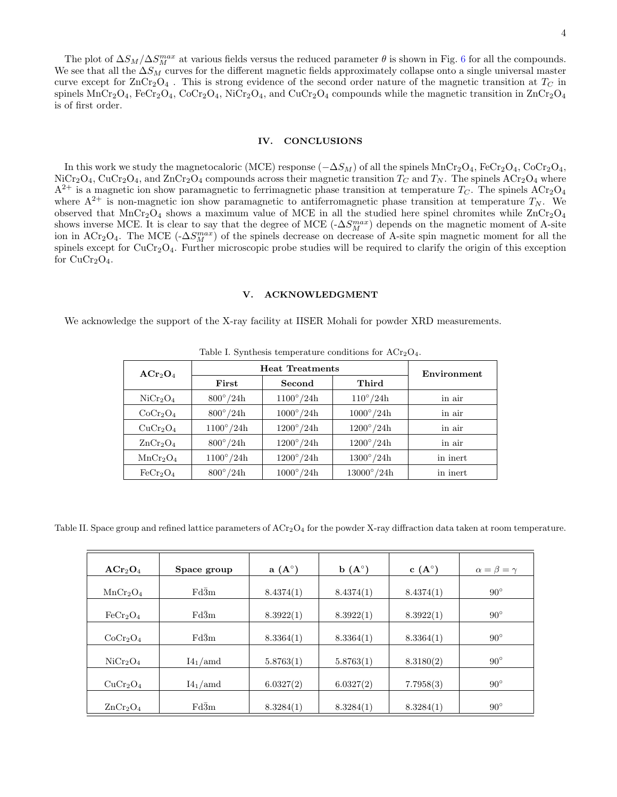#### IV. CONCLUSIONS

In this work we study the magnetocaloric (MCE) response  $(-\Delta S_M)$  of all the spinels MnCr<sub>2</sub>O<sub>4</sub>, FeCr<sub>2</sub>O<sub>4</sub>, CoCr<sub>2</sub>O<sub>4</sub>,  $NiCr_2O_4$ ,  $CuCr_2O_4$ , and  $ZnCr_2O_4$  compounds across their magnetic transition  $T_C$  and  $T_N$ . The spinels  $ACr_2O_4$  where  $A^{2+}$  is a magnetic ion show paramagnetic to ferrimagnetic phase transition at temperature  $T_C$ . The spinels  $\text{ACr}_2\text{O}_4$ where  $A^{2+}$  is non-magnetic ion show paramagnetic to antiferromagnetic phase transition at temperature  $T_N$ . We observed that  $MnCr_2O_4$  shows a maximum value of MCE in all the studied here spinel chromites while  $ZnCr_2O_4$ shows inverse MCE. It is clear to say that the degree of MCE  $(-\Delta S_M^{max})$  depends on the magnetic moment of A-site ion in ACr<sub>2</sub>O<sub>4</sub>. The MCE ( $-\Delta S_M^{max}$ ) of the spinels decrease on decrease of A-site spin magnetic moment for all the spinels except for  $CuCr<sub>2</sub>O<sub>4</sub>$ . Further microscopic probe studies will be required to clarify the origin of this exception for  $CuCr<sub>2</sub>O<sub>4</sub>$ .

#### V. ACKNOWLEDGMENT

We acknowledge the support of the X-ray facility at IISER Mohali for powder XRD measurements.

| $\mathbf{ACr}_2\mathbf{O}_4$     | <b>Heat Treatments</b> | Environment      |                    |          |
|----------------------------------|------------------------|------------------|--------------------|----------|
|                                  | First                  | Second           | Third              |          |
| $\rm NiCr_2O_4$                  | $800^{\circ}/24h$      | $1100^\circ/24h$ | $110^{\circ}/24h$  | in air   |
| CoCr <sub>2</sub> O <sub>4</sub> | $800^{\circ}/24h$      | $1000^\circ/24h$ | $1000^{\circ}/24h$ | in air   |
| CuCr <sub>2</sub> O <sub>4</sub> | $1100^\circ/24h$       | $1200^\circ/24h$ | $1200^{\circ}/24h$ | in air   |
| $\rm ZnCr_2O_4$                  | $800^{\circ}/24h$      | $1200^\circ/24h$ | $1200^\circ/24h$   | in air   |
| MnCr <sub>2</sub> O <sub>4</sub> | $1100^\circ/24h$       | $1200^\circ/24h$ | $1300^{\circ}/24h$ | in inert |
| $\rm FeCr_2O_4$                  | $800^{\circ}/24h$      | $1000^\circ/24h$ | $13000^\circ/24h$  | in inert |

<span id="page-3-0"></span>Table I. Synthesis temperature conditions for  $\text{ACT}_2\text{O}_4$ .

Table II. Space group and refined lattice parameters of ACr<sub>2</sub>O<sub>4</sub> for the powder X-ray diffraction data taken at room temperature.

<span id="page-3-1"></span>

| ACr <sub>2</sub> O <sub>4</sub>  | Space group       | $a(A^{\circ})$ | $\mathbf{b}(\mathbf{A}^{\circ})$ | $c(A^{\circ})$ | $\alpha = \beta = \gamma$ |
|----------------------------------|-------------------|----------------|----------------------------------|----------------|---------------------------|
|                                  |                   |                |                                  |                |                           |
| MnCr <sub>2</sub> O <sub>4</sub> | Fd3m              | 8.4374(1)      | 8.4374(1)                        | 8.4374(1)      | $90^{\circ}$              |
|                                  |                   |                |                                  |                |                           |
| $\text{FeCr}_2\text{O}_4$        | $Fd\bar{3}m$      | 8.3922(1)      | 8.3922(1)                        | 8.3922(1)      | $90^{\circ}$              |
|                                  |                   |                |                                  |                |                           |
| CoCr <sub>2</sub> O <sub>4</sub> | $Fd\overline{3}m$ | 8.3364(1)      | 8.3364(1)                        | 8.3364(1)      | $90^{\circ}$              |
|                                  |                   |                |                                  |                |                           |
| $\rm NiCr_2O_4$                  | $I4_1$ /amd       | 5.8763(1)      | 5.8763(1)                        | 8.3180(2)      | $90^{\circ}$              |
|                                  |                   |                |                                  |                |                           |
| CuCr <sub>2</sub> O <sub>4</sub> | $I4_1$ /amd       | 6.0327(2)      | 6.0327(2)                        | 7.7958(3)      | $90^{\circ}$              |
|                                  |                   |                |                                  |                |                           |
| ZnCr <sub>2</sub> O <sub>4</sub> | $Fd\overline{3}m$ | 8.3284(1)      | 8.3284(1)                        | 8.3284(1)      | $90^{\circ}$              |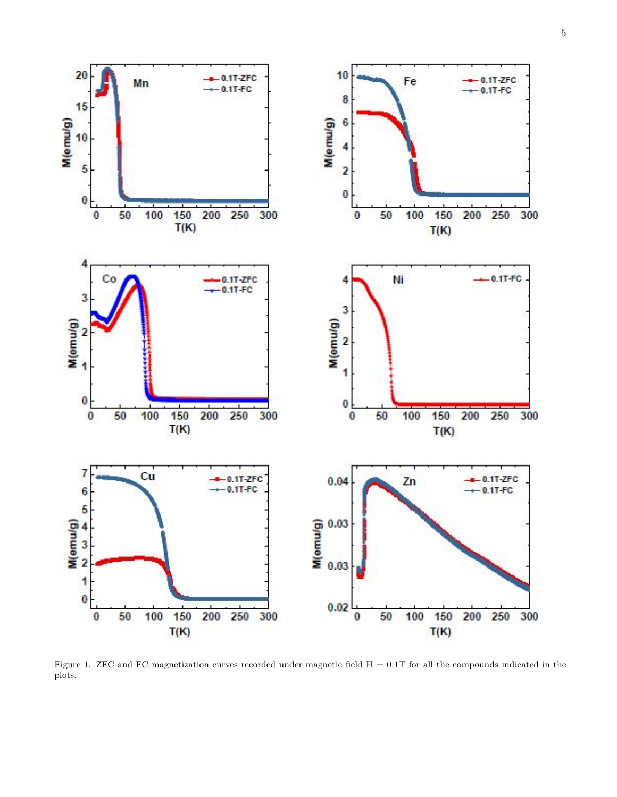

<span id="page-4-0"></span>Figure 1. ZFC and FC magnetization curves recorded under magnetic field  $H = 0.1T$  for all the compounds indicated in the plots.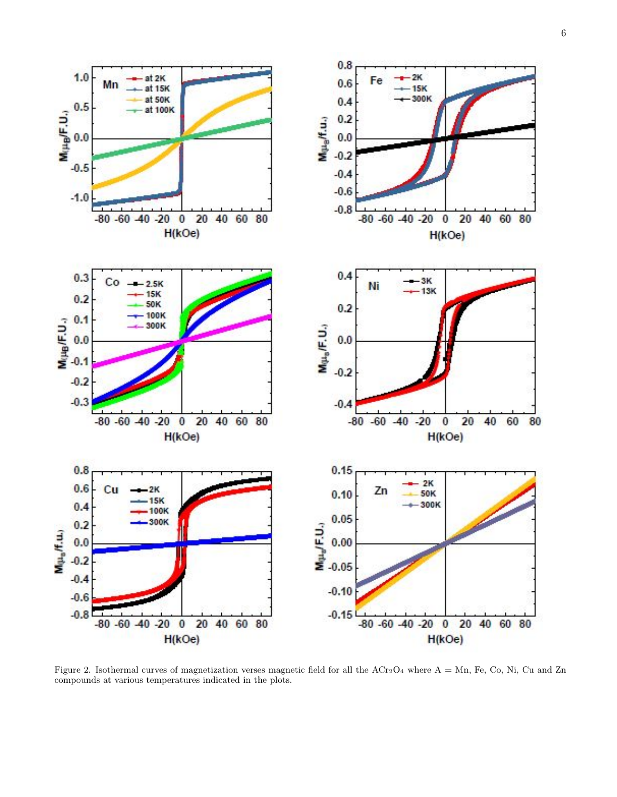

<span id="page-5-0"></span>Figure 2. Isothermal curves of magnetization verses magnetic field for all the  $\text{ACr}_2\text{O}_4$  where  $\text{A} = \text{Mn}$ , Fe, Co, Ni, Cu and Zn compounds at various temperatures indicated in the plots.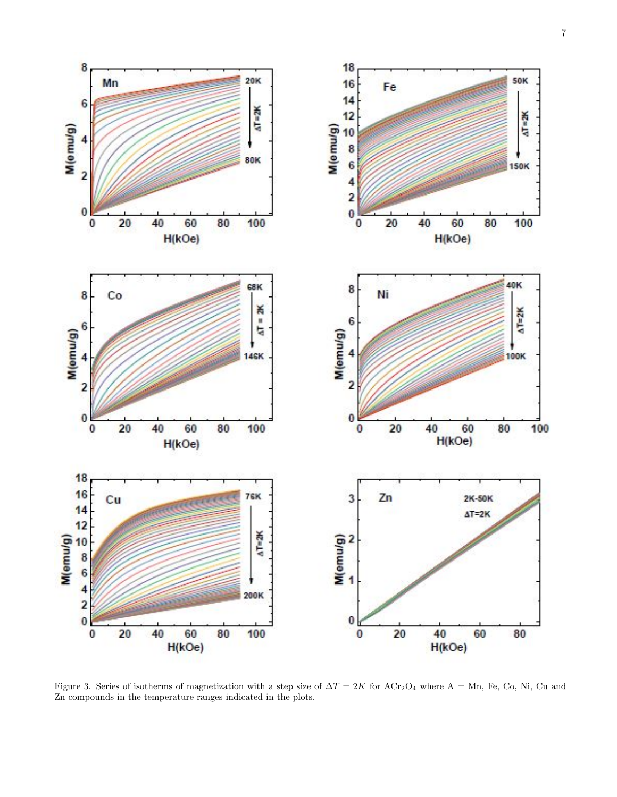

<span id="page-6-0"></span>Figure 3. Series of isotherms of magnetization with a step size of  $\Delta T = 2K$  for  $\Delta Cr_2O_4$  where  $A = Mn$ , Fe, Co, Ni, Cu and Zn compounds in the temperature ranges indicated in the plots.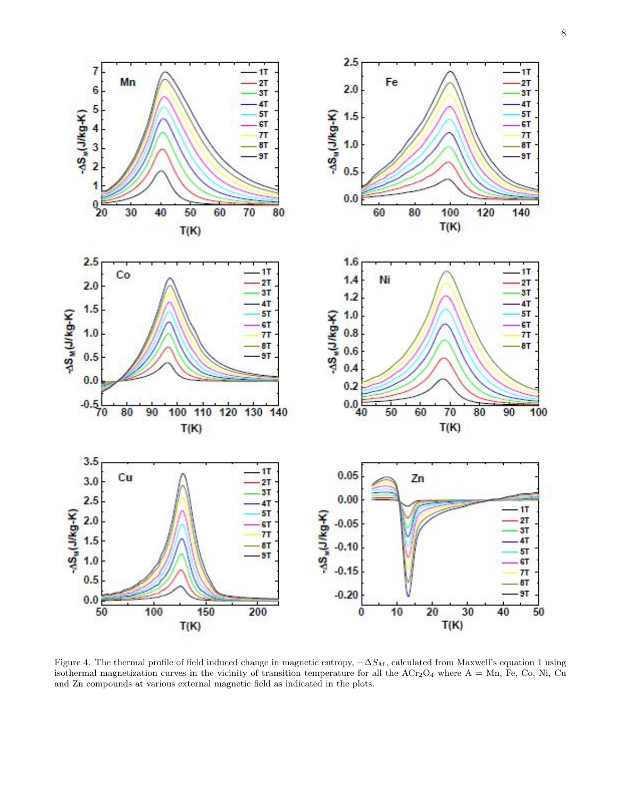

<span id="page-7-0"></span>Figure 4. The thermal profile of field induced change in magnetic entropy,  $-\Delta S_M$ , calculated from Maxwell's equation [1](#page-2-0) using isothermal magnetization curves in the vicinity of transition temperature for all the  $\text{ACT}_2\text{O}_4$  where  $A = Mn$ , Fe, Co, Ni, Cu and Zn compounds at various external magnetic field as indicated in the plots.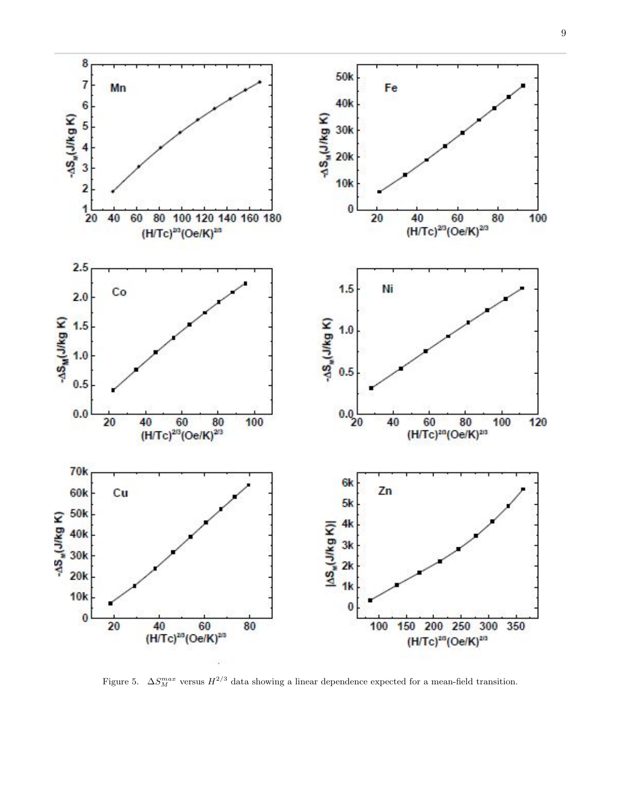

<span id="page-8-0"></span>Figure 5.  $\Delta S_M^{max}$  versus  $H^{2/3}$  data showing a linear dependence expected for a mean-field transition.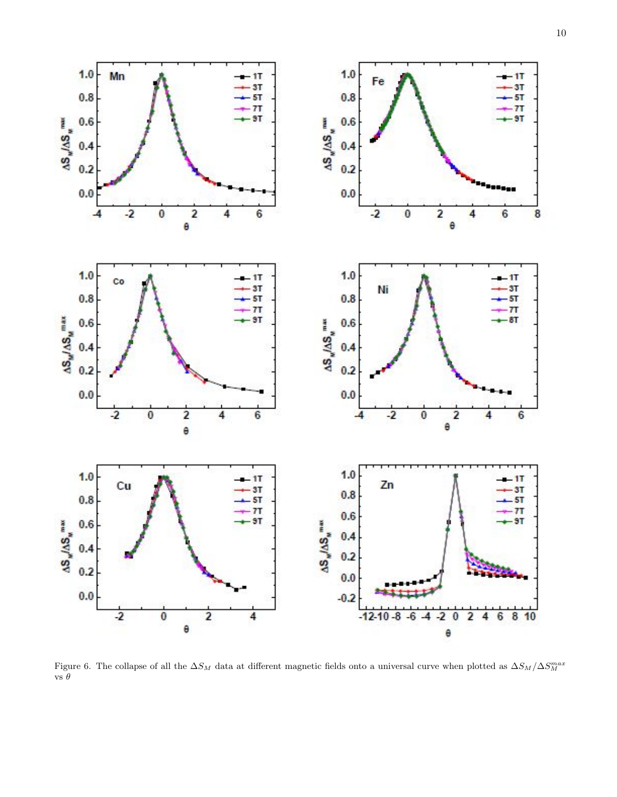

<span id="page-9-0"></span>Figure 6. The collapse of all the  $\Delta S_M$  data at different magnetic fields onto a universal curve when plotted as  $\Delta S_M/\Delta S_M^{max}$ vs  $\theta$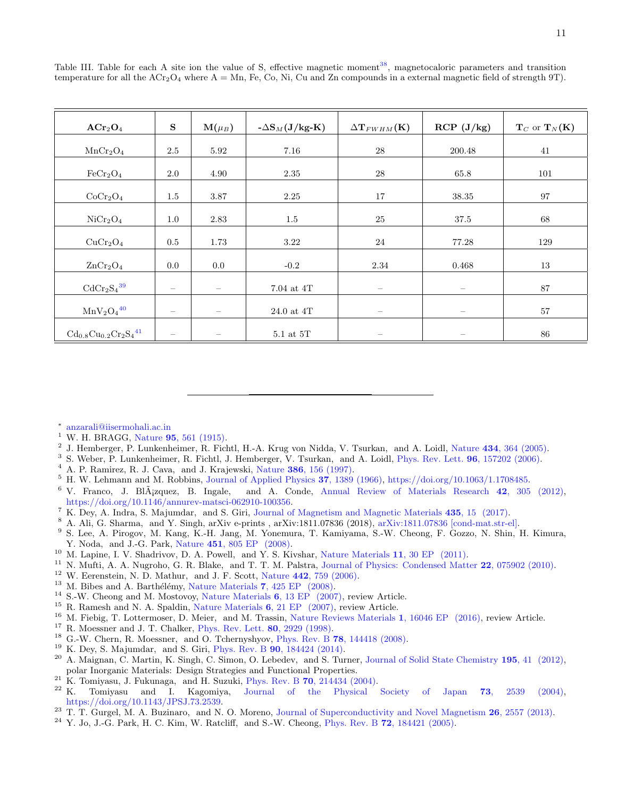| $\mathbf{ACr}_2\mathbf{O}_4$            | ${\bf S}$                | $\mathrm{M}(\mu_B)$ | $-\Delta S_M(J/kg-K)$ | $\Delta$ T <sub>FWHM</sub> (K) | RCP (J/kg)               | $T_C$ or $T_N(K)$ |
|-----------------------------------------|--------------------------|---------------------|-----------------------|--------------------------------|--------------------------|-------------------|
| MnCr <sub>2</sub> O <sub>4</sub>        | 2.5                      | 5.92                | 7.16                  | $28\,$                         | 200.48                   | 41                |
| FeCr <sub>2</sub> O <sub>4</sub>        | 2.0                      | 4.90                | 2.35                  | 28                             | 65.8                     | 101               |
| CoCr <sub>2</sub> O <sub>4</sub>        | $1.5\,$                  | 3.87                | 2.25                  | $17\,$                         | 38.35                    | 97                |
| NiCr <sub>2</sub> O <sub>4</sub>        | $1.0\,$                  | 2.83                | $1.5\,$               | $25\,$                         | 37.5                     | 68                |
| CuCr <sub>2</sub> O <sub>4</sub>        | $0.5\,$                  | 1.73                | 3.22                  | 24                             | 77.28                    | 129               |
| ZnCr <sub>2</sub> O <sub>4</sub>        | 0.0                      | $0.0\,$             | $-0.2$                | 2.34                           | 0.468                    | 13                |
| $\mathrm{CdCr_2S_4}^{39}$               | $\overline{\phantom{m}}$ | $\qquad \qquad -$   | $7.04$ at $4T$        | $\qquad \qquad -$              | $\overline{\phantom{m}}$ | 87                |
| $MnV_2O_4^{40}$                         | $\overline{\phantom{m}}$ | $\qquad \qquad$     | 24.0 at 4T            |                                |                          | 57                |
| $Cd_{0.8}Cu_{0.2}Cr_2S_4$ <sup>41</sup> | $\overline{\phantom{m}}$ |                     | $5.1$ at $5T$         |                                |                          | 86                |

<span id="page-10-21"></span>Table III. Table for each A site ion the value of S, effective magnetic moment<sup>[38](#page-11-12)</sup>, magnetocaloric parameters and transition temperature for all the  $\text{ACT}_2\text{O}_4$  where  $\text{A} = \text{Mn}$ , Fe, Co, Ni, Cu and Zn compounds in a external magnetic field of strength 9T).

<span id="page-10-0"></span>∗ [anzarali@iisermohali.ac.in](mailto:anzarali@iisermohali.ac.in)

- <span id="page-10-1"></span><sup>1</sup> W. H. BRAGG, Nature  $95, 561$  (1915).
- <span id="page-10-2"></span><sup>2</sup> J. Hemberger, P. Lunkenheimer, R. Fichtl, H.-A. Krug von Nidda, V. Tsurkan, and A. Loidl, Nature 434[, 364 \(2005\).](http://dx.doi.org/10.1038/nature03348)
- <span id="page-10-3"></span><sup>3</sup> S. Weber, P. Lunkenheimer, R. Fichtl, J. Hemberger, V. Tsurkan, and A. Loidl, [Phys. Rev. Lett.](http://dx.doi.org/ 10.1103/PhysRevLett.96.157202) **96**, 157202 (2006).
- $4$  A. P. Ramirez, R. J. Cava, and J. Krajewski, Nature 386[, 156 \(1997\).](http://dx.doi.org/10.1038/386156a0)
- <span id="page-10-4"></span><sup>5</sup> H. W. Lehmann and M. Robbins, [Journal of Applied Physics](http://dx.doi.org/10.1063/1.1708485) 37, 1389 (1966), [https://doi.org/10.1063/1.1708485.](http://arxiv.org/abs/https://doi.org/10.1063/1.1708485)
- <span id="page-10-5"></span> $6$  V. Franco, J. Bl $\tilde{A}$ <sub>i</sub>zquez, B. Ingale, and A. Conde, [Annual Review of Materials Research](http://dx.doi.org/ 10.1146/annurev-matsci-062910-100356) 42, 305 (2012), [https://doi.org/10.1146/annurev-matsci-062910-100356.](http://arxiv.org/abs/https://doi.org/10.1146/annurev-matsci-062910-100356)
- <span id="page-10-20"></span><sup>7</sup> K. Dey, A. Indra, S. Majumdar, and S. Giri, [Journal of Magnetism and Magnetic Materials](http://dx.doi.org/ https://doi.org/10.1016/j.jmmm.2017.03.068)  $435$ ,  $15$  (2017).
- <span id="page-10-6"></span><sup>8</sup> A. Ali, G. Sharma, and Y. Singh, arXiv e-prints , arXiv:1811.07836 (2018), [arXiv:1811.07836 \[cond-mat.str-el\].](http://arxiv.org/abs/1811.07836)<br><sup>9</sup> S. Lee, A. Pirogov, M. Kang, K.-H. Jang, M. Yonemura, T. Kamiyama, S.-W. Cheong, F. Gozzo, N. Shin
- <span id="page-10-7"></span><sup>9</sup> S. Lee, A. Pirogov, M. Kang, K.-H. Jang, M. Yonemura, T. Kamiyama, S.-W. Cheong, F. Gozzo, N. Shin, H. Kimura, Y. Noda, and J.-G. Park, Nature 451[, 805 EP \(2008\).](https://doi.org/10.1038/nature06507)
- <span id="page-10-8"></span><sup>10</sup> M. Lapine, I. V. Shadrivov, D. A. Powell, and Y. S. Kivshar, [Nature Materials](https://doi.org/10.1038/nmat3168) 11, 30 EP (2011).
- <span id="page-10-9"></span><sup>11</sup> N. Mufti, A. A. Nugroho, G. R. Blake, and T. T. M. Palstra, [Journal of Physics: Condensed Matter](http://dx.doi.org/10.1088/0953-8984/22/7/075902) 22, 075902 (2010).
- <span id="page-10-10"></span> $12$  W. Eerenstein, N. D. Mathur, and J. F. Scott, Nature  $442, 759$  (2006).
- $^{13}$  M. Bibes and A. Barthélémy, [Nature Materials](https://doi.org/10.1038/nmat2189) 7, 425 EP (2008).
- <sup>14</sup> S.-W. Cheong and M. Mostovoy, [Nature Materials](https://doi.org/10.1038/nmat1804) 6, 13 EP (2007), review Article.
- <sup>15</sup> R. Ramesh and N. A. Spaldin, [Nature Materials](https://doi.org/10.1038/nmat1805) 6, 21 EP (2007), review Article.<br><sup>16</sup> M. Fiebig, T. Lottermoser, D. Meier, and M. Trassin, Nature Reviews Materials
- <span id="page-10-11"></span><sup>16</sup> M. Fiebig, T. Lottermoser, D. Meier, and M. Trassin, [Nature Reviews Materials](https://doi.org/10.1038/natrevmats.2016.46) 1, 16046 EP (2016), review Article.
- <span id="page-10-12"></span><sup>17</sup> R. Moessner and J. T. Chalker, [Phys. Rev. Lett.](http://dx.doi.org/10.1103/PhysRevLett.80.2929) **80**, 2929 (1998).
- <span id="page-10-13"></span><sup>18</sup> G.-W. Chern, R. Moessner, and O. Tchernyshyov, Phys. Rev. B **78**[, 144418 \(2008\).](http://dx.doi.org/10.1103/PhysRevB.78.144418)
- <span id="page-10-14"></span><sup>19</sup> K. Dey, S. Majumdar, and S. Giri, Phys. Rev. B **90**[, 184424 \(2014\).](http://dx.doi.org/10.1103/PhysRevB.90.184424)
- <span id="page-10-15"></span><sup>20</sup> A. Maignan, C. Martin, K. Singh, C. Simon, O. Lebedev, and S. Turner, [Journal of Solid State Chemistry](http://dx.doi.org/ https://doi.org/10.1016/j.jssc.2012.01.063) 195, 41 (2012), polar Inorganic Materials: Design Strategies and Functional Properties.
- <span id="page-10-16"></span><sup>21</sup> K. Tomiyasu, J. Fukunaga, and H. Suzuki, Phys. Rev. B **70**[, 214434 \(2004\).](http://dx.doi.org/10.1103/PhysRevB.70.214434)<br><sup>22</sup> K Tomiyasu and I. Kagomiya. Journal of the Physical
- <span id="page-10-17"></span><sup>22</sup> K. Tomiyasu and I. Kagomiya, [Journal of the Physical Society of Japan](http://dx.doi.org/10.1143/JPSJ.73.2539) 73, 2539 (2004), [https://doi.org/10.1143/JPSJ.73.2539.](http://arxiv.org/abs/https://doi.org/10.1143/JPSJ.73.2539)
- <span id="page-10-18"></span><sup>23</sup> T. T. Gurgel, M. A. Buzinaro, and N. O. Moreno, [Journal of Superconductivity and Novel Magnetism](http://dx.doi.org/10.1007/s10948-012-1726-7)  $26$ , 2557 (2013).
- <span id="page-10-19"></span> $^{24}$  Y. Jo, J.-G. Park, H. C. Kim, W. Ratcliff, and S.-W. Cheong, Phys. Rev. B 72[, 184421 \(2005\).](http://dx.doi.org/ 10.1103/PhysRevB.72.184421)